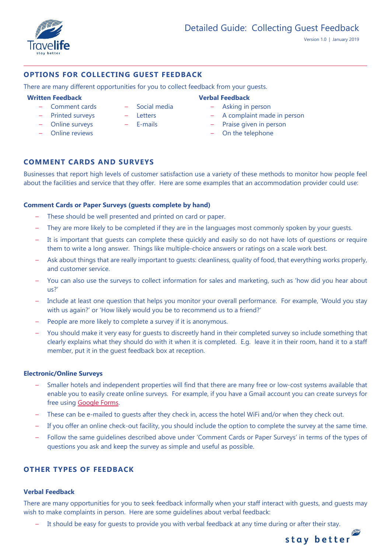

# **OPTIONS FOR COLLECTING GUEST FEEDBACK**

There are many different opportunities for you to collect feedback from your guests.

### **Written Feedback Verbal Feedback**

- Comment cards
- Printed surveys
- Online surveys
- Online reviews
- Social media
- Letters
- E-mails

- Asking in person
- A complaint made in person
- Praise given in person
- On the telephone

# **COMMENT CARDS AND SURVEYS**

Businesses that report high levels of customer satisfaction use a variety of these methods to monitor how people feel about the facilities and service that they offer. Here are some examples that an accommodation provider could use:

## **Comment Cards or Paper Surveys (guests complete by hand)**

- These should be well presented and printed on card or paper.
- They are more likely to be completed if they are in the languages most commonly spoken by your guests.
- It is important that quests can complete these quickly and easily so do not have lots of questions or require them to write a long answer. Things like multiple-choice answers or ratings on a scale work best.
- Ask about things that are really important to guests: cleanliness, quality of food, that everything works properly, and customer service.
- You can also use the surveys to collect information for sales and marketing, such as 'how did you hear about us?'
- Include at least one question that helps you monitor your overall performance. For example, 'Would you stay with us again?' or 'How likely would you be to recommend us to a friend?'
- People are more likely to complete a survey if it is anonymous.
- You should make it very easy for guests to discreetly hand in their completed survey so include something that clearly explains what they should do with it when it is completed. E.g. leave it in their room, hand it to a staff member, put it in the guest feedback box at reception.

## **Electronic/Online Surveys**

- Smaller hotels and independent properties will find that there are many free or low-cost systems available that enable you to easily create online surveys. For example, if you have a Gmail account you can create surveys for free using [Google Forms.](https://www.google.co.uk/forms/about/)
- These can be e-mailed to guests after they check in, access the hotel WiFi and/or when they check out.
- If you offer an online check-out facility, you should include the option to complete the survey at the same time.
- Follow the same guidelines described above under 'Comment Cards or Paper Surveys' in terms of the types of questions you ask and keep the survey as simple and useful as possible.

# **OTHER TYPES OF FEEDBACK**

## **Verbal Feedback**

There are many opportunities for you to seek feedback informally when your staff interact with guests, and guests may wish to make complaints in person. Here are some guidelines about verbal feedback:

– It should be easy for guests to provide you with verbal feedback at any time during or after their stay.